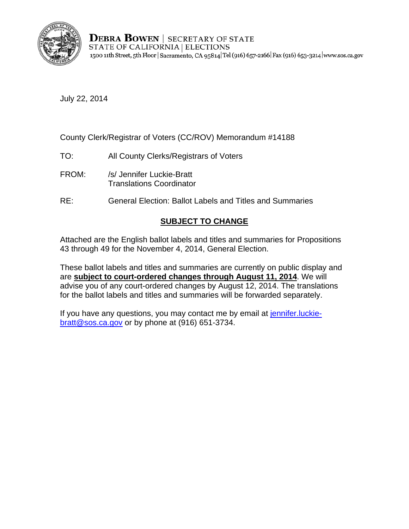

**DEBRA BOWEN | SECRETARY OF STATE** STATE OF CALIFORNIA | ELECTIONS 1500 11th Street, 5th Floor | Sacramento, CA 95814 Tel (916) 657-2166 | Fax (916) 653-3214 | www.sos.ca.gov

July 22, 2014

County Clerk/Registrar of Voters (CC/ROV) Memorandum #14188

- TO: All County Clerks/Registrars of Voters
- FROM: /s/ Jennifer Luckie-Bratt Translations Coordinator
- RE: General Election: Ballot Labels and Titles and Summaries

# **SUBJECT TO CHANGE**

Attached are the English ballot labels and titles and summaries for Propositions 43 through 49 for the November 4, 2014, General Election.

These ballot labels and titles and summaries are currently on public display and are **subject to court-ordered changes through August 11, 2014**. We will advise you of any court-ordered changes by August 12, 2014. The translations for the ballot labels and titles and summaries will be forwarded separately.

If you have any questions, you may contact me by email at jennifer.luckiebratt@sos.ca.gov or by phone at (916) 651-3734.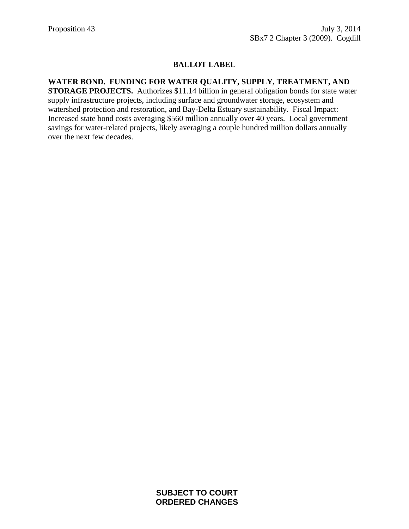#### **WATER BOND. FUNDING FOR WATER QUALITY, SUPPLY, TREATMENT, AND**

**STORAGE PROJECTS.** Authorizes \$11.14 billion in general obligation bonds for state water supply infrastructure projects, including surface and groundwater storage, ecosystem and watershed protection and restoration, and Bay-Delta Estuary sustainability. Fiscal Impact: Increased state bond costs averaging \$560 million annually over 40 years. Local government savings for water-related projects, likely averaging a couple hundred million dollars annually over the next few decades.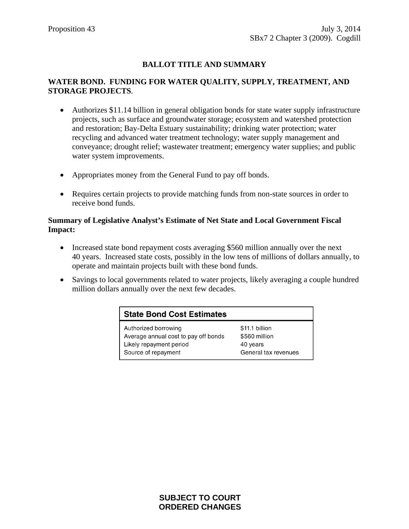#### **WATER BOND. FUNDING FOR WATER QUALITY, SUPPLY, TREATMENT, AND STORAGE PROJECTS**.

- Authorizes \$11.14 billion in general obligation bonds for state water supply infrastructure projects, such as surface and groundwater storage; ecosystem and watershed protection and restoration; Bay-Delta Estuary sustainability; drinking water protection; water recycling and advanced water treatment technology; water supply management and conveyance; drought relief; wastewater treatment; emergency water supplies; and public water system improvements.
- Appropriates money from the General Fund to pay off bonds.
- Requires certain projects to provide matching funds from non-state sources in order to receive bond funds.

- Increased state bond repayment costs averaging \$560 million annually over the next 40 years. Increased state costs, possibly in the low tens of millions of dollars annually, to operate and maintain projects built with these bond funds.
- Savings to local governments related to water projects, likely averaging a couple hundred million dollars annually over the next few decades.

| <b>State Bond Cost Estimates</b>     |                      |
|--------------------------------------|----------------------|
| Authorized borrowing                 | \$11.1 billion       |
| Average annual cost to pay off bonds | \$560 million        |
| Likely repayment period              | 40 years             |
| Source of repayment                  | General tax revenues |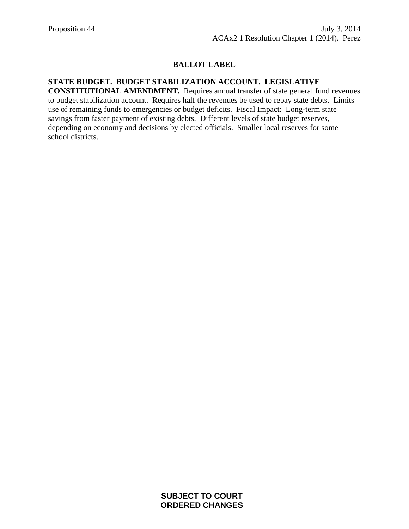# **STATE BUDGET. BUDGET STABILIZATION ACCOUNT. LEGISLATIVE**

**CONSTITUTIONAL AMENDMENT.** Requires annual transfer of state general fund revenues to budget stabilization account. Requires half the revenues be used to repay state debts. Limits use of remaining funds to emergencies or budget deficits. Fiscal Impact: Long-term state savings from faster payment of existing debts. Different levels of state budget reserves, depending on economy and decisions by elected officials. Smaller local reserves for some school districts.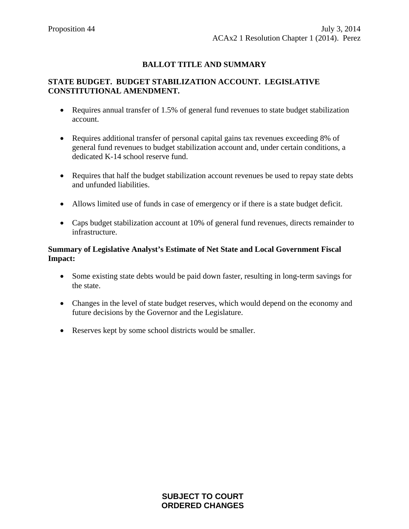#### **STATE BUDGET. BUDGET STABILIZATION ACCOUNT. LEGISLATIVE CONSTITUTIONAL AMENDMENT.**

- Requires annual transfer of 1.5% of general fund revenues to state budget stabilization account.
- Requires additional transfer of personal capital gains tax revenues exceeding 8% of general fund revenues to budget stabilization account and, under certain conditions, a dedicated K-14 school reserve fund.
- Requires that half the budget stabilization account revenues be used to repay state debts and unfunded liabilities.
- Allows limited use of funds in case of emergency or if there is a state budget deficit.
- Caps budget stabilization account at 10% of general fund revenues, directs remainder to infrastructure.

- Some existing state debts would be paid down faster, resulting in long-term savings for the state.
- Changes in the level of state budget reserves, which would depend on the economy and future decisions by the Governor and the Legislature.
- Reserves kept by some school districts would be smaller.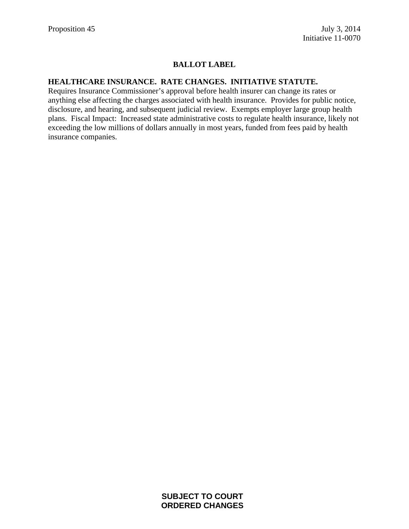### **HEALTHCARE INSURANCE. RATE CHANGES. INITIATIVE STATUTE.**

Requires Insurance Commissioner's approval before health insurer can change its rates or anything else affecting the charges associated with health insurance. Provides for public notice, disclosure, and hearing, and subsequent judicial review. Exempts employer large group health plans. Fiscal Impact: Increased state administrative costs to regulate health insurance, likely not exceeding the low millions of dollars annually in most years, funded from fees paid by health insurance companies.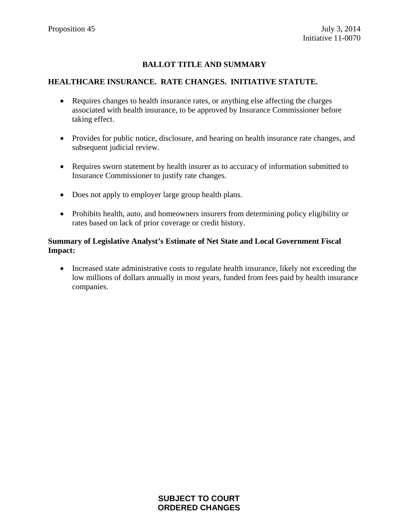#### **HEALTHCARE INSURANCE. RATE CHANGES. INITIATIVE STATUTE.**

- Requires changes to health insurance rates, or anything else affecting the charges associated with health insurance, to be approved by Insurance Commissioner before taking effect.
- Provides for public notice, disclosure, and hearing on health insurance rate changes, and subsequent judicial review.
- Requires sworn statement by health insurer as to accuracy of information submitted to Insurance Commissioner to justify rate changes.
- Does not apply to employer large group health plans.
- Prohibits health, auto, and homeowners insurers from determining policy eligibility or rates based on lack of prior coverage or credit history.

#### **Summary of Legislative Analyst's Estimate of Net State and Local Government Fiscal Impact:**

• Increased state administrative costs to regulate health insurance, likely not exceeding the low millions of dollars annually in most years, funded from fees paid by health insurance companies.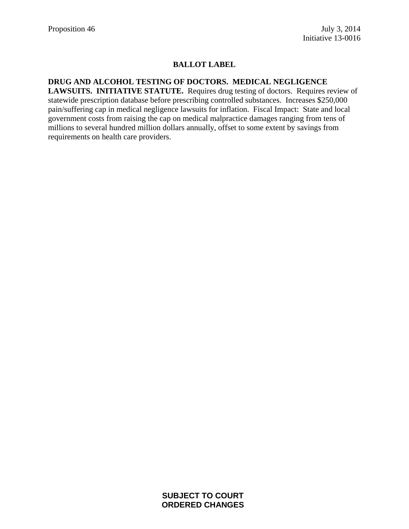# **DRUG AND ALCOHOL TESTING OF DOCTORS. MEDICAL NEGLIGENCE**

**LAWSUITS. INITIATIVE STATUTE.** Requires drug testing of doctors. Requires review of statewide prescription database before prescribing controlled substances. Increases \$250,000 pain/suffering cap in medical negligence lawsuits for inflation. Fiscal Impact: State and local government costs from raising the cap on medical malpractice damages ranging from tens of millions to several hundred million dollars annually, offset to some extent by savings from requirements on health care providers.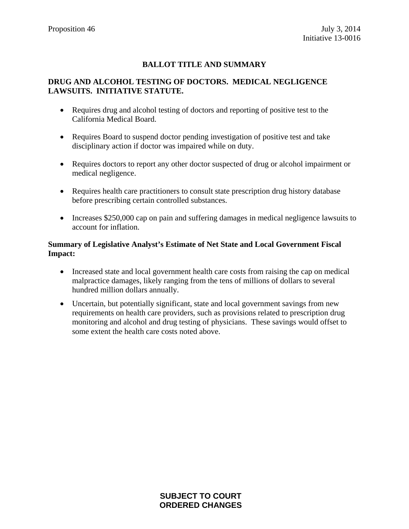#### **DRUG AND ALCOHOL TESTING OF DOCTORS. MEDICAL NEGLIGENCE LAWSUITS. INITIATIVE STATUTE.**

- Requires drug and alcohol testing of doctors and reporting of positive test to the California Medical Board.
- Requires Board to suspend doctor pending investigation of positive test and take disciplinary action if doctor was impaired while on duty.
- Requires doctors to report any other doctor suspected of drug or alcohol impairment or medical negligence.
- Requires health care practitioners to consult state prescription drug history database before prescribing certain controlled substances.
- Increases \$250,000 cap on pain and suffering damages in medical negligence lawsuits to account for inflation.

- Increased state and local government health care costs from raising the cap on medical malpractice damages, likely ranging from the tens of millions of dollars to several hundred million dollars annually.
- Uncertain, but potentially significant, state and local government savings from new requirements on health care providers, such as provisions related to prescription drug monitoring and alcohol and drug testing of physicians. These savings would offset to some extent the health care costs noted above.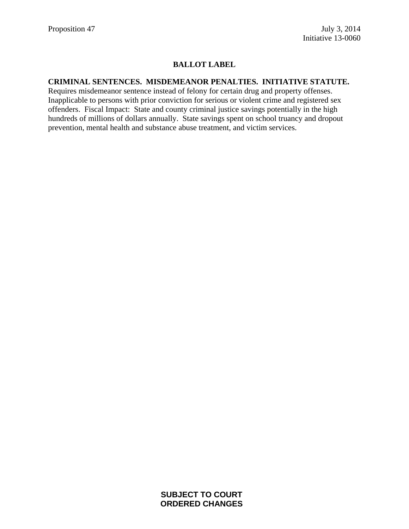#### **CRIMINAL SENTENCES. MISDEMEANOR PENALTIES. INITIATIVE STATUTE.**

Requires misdemeanor sentence instead of felony for certain drug and property offenses. Inapplicable to persons with prior conviction for serious or violent crime and registered sex offenders. Fiscal Impact: State and county criminal justice savings potentially in the high hundreds of millions of dollars annually. State savings spent on school truancy and dropout prevention, mental health and substance abuse treatment, and victim services.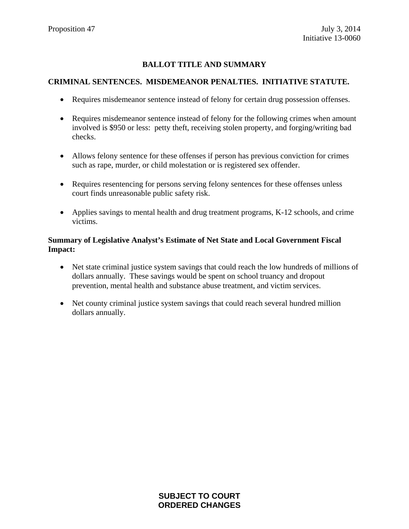#### **CRIMINAL SENTENCES. MISDEMEANOR PENALTIES. INITIATIVE STATUTE.**

- Requires misdemeanor sentence instead of felony for certain drug possession offenses.
- Requires misdemeanor sentence instead of felony for the following crimes when amount involved is \$950 or less: petty theft, receiving stolen property, and forging/writing bad checks.
- Allows felony sentence for these offenses if person has previous conviction for crimes such as rape, murder, or child molestation or is registered sex offender.
- Requires resentencing for persons serving felony sentences for these offenses unless court finds unreasonable public safety risk.
- Applies savings to mental health and drug treatment programs, K-12 schools, and crime victims.

- Net state criminal justice system savings that could reach the low hundreds of millions of dollars annually. These savings would be spent on school truancy and dropout prevention, mental health and substance abuse treatment, and victim services.
- Net county criminal justice system savings that could reach several hundred million dollars annually.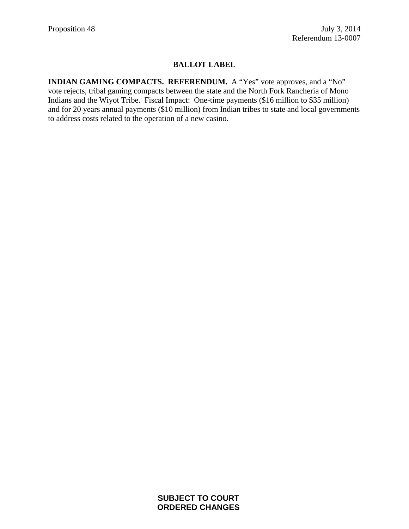**INDIAN GAMING COMPACTS. REFERENDUM.** A "Yes" vote approves, and a "No" vote rejects, tribal gaming compacts between the state and the North Fork Rancheria of Mono Indians and the Wiyot Tribe. Fiscal Impact: One-time payments (\$16 million to \$35 million) and for 20 years annual payments (\$10 million) from Indian tribes to state and local governments to address costs related to the operation of a new casino.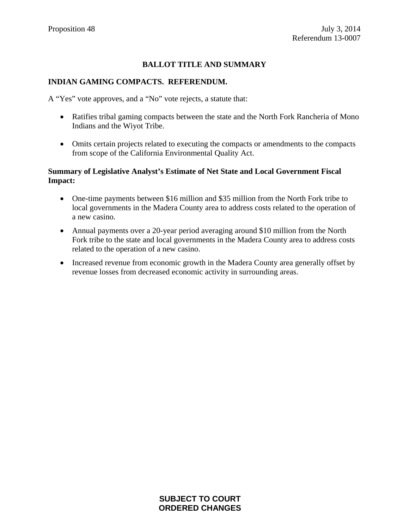#### **INDIAN GAMING COMPACTS. REFERENDUM.**

A "Yes" vote approves, and a "No" vote rejects, a statute that:

- Ratifies tribal gaming compacts between the state and the North Fork Rancheria of Mono Indians and the Wiyot Tribe.
- Omits certain projects related to executing the compacts or amendments to the compacts from scope of the California Environmental Quality Act.

- One-time payments between \$16 million and \$35 million from the North Fork tribe to local governments in the Madera County area to address costs related to the operation of a new casino.
- Annual payments over a 20-year period averaging around \$10 million from the North Fork tribe to the state and local governments in the Madera County area to address costs related to the operation of a new casino.
- Increased revenue from economic growth in the Madera County area generally offset by revenue losses from decreased economic activity in surrounding areas.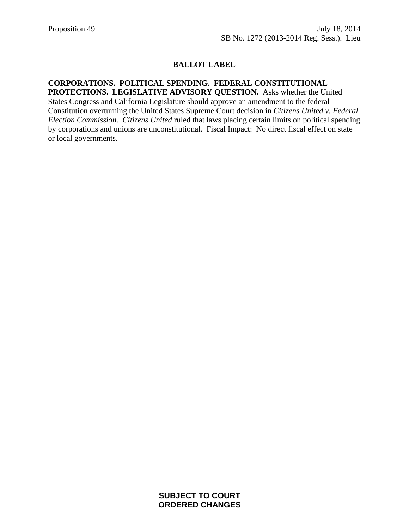#### **CORPORATIONS. POLITICAL SPENDING. FEDERAL CONSTITUTIONAL PROTECTIONS. LEGISLATIVE ADVISORY QUESTION.** Asks whether the United

States Congress and California Legislature should approve an amendment to the federal Constitution overturning the United States Supreme Court decision in *Citizens United v. Federal Election Commission*. *Citizens United* ruled that laws placing certain limits on political spending by corporations and unions are unconstitutional. Fiscal Impact: No direct fiscal effect on state or local governments.